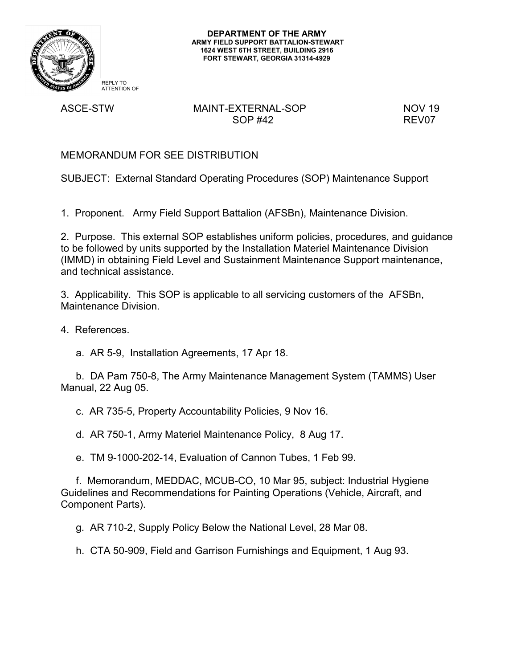

**DEPARTMENT OF THE ARMY ARMY FIELD SUPPORT BATTALION-STEWART 1624 WEST 6TH STREET, BUILDING 2916 FORT STEWART, GEORGIA 31314-4929**

REPLY TO ATTENTION OF

# ASCE-STW MAINT-EXTERNAL-SOP NOV 19 SOP #42 REV07

MEMORANDUM FOR SEE DISTRIBUTION

SUBJECT: External Standard Operating Procedures (SOP) Maintenance Support

1. Proponent. Army Field Support Battalion (AFSBn), Maintenance Division.

2. Purpose. This external SOP establishes uniform policies, procedures, and guidance to be followed by units supported by the Installation Materiel Maintenance Division (IMMD) in obtaining Field Level and Sustainment Maintenance Support maintenance, and technical assistance.

3. Applicability. This SOP is applicable to all servicing customers of the AFSBn, Maintenance Division.

4. References.

a. AR 5-9, Installation Agreements, 17 Apr 18.

b. DA Pam 750-8, The Army Maintenance Management System (TAMMS) User Manual, 22 Aug 05.

c. AR 735-5, Property Accountability Policies, 9 Nov 16.

d. AR 750-1, Army Materiel Maintenance Policy, 8 Aug 17.

e. TM 9-1000-202-14, Evaluation of Cannon Tubes, 1 Feb 99.

f. Memorandum, MEDDAC, MCUB-CO, 10 Mar 95, subject: Industrial Hygiene Guidelines and Recommendations for Painting Operations (Vehicle, Aircraft, and Component Parts).

g. AR 710-2, Supply Policy Below the National Level, 28 Mar 08.

h. CTA 50-909, Field and Garrison Furnishings and Equipment, 1 Aug 93.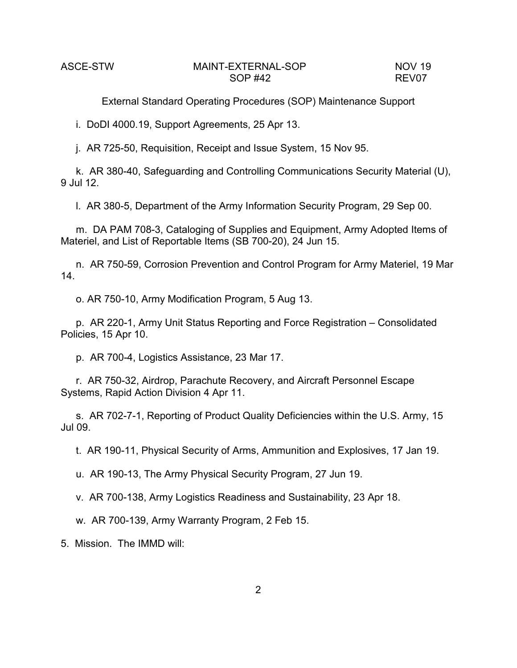i. DoDI 4000.19, Support Agreements, 25 Apr 13.

j. AR 725-50, Requisition, Receipt and Issue System, 15 Nov 95.

k. AR 380-40, Safeguarding and Controlling Communications Security Material (U), 9 Jul 12.

l. AR 380-5, Department of the Army Information Security Program, 29 Sep 00.

m. DA PAM 708-3, Cataloging of Supplies and Equipment, Army Adopted Items of Materiel, and List of Reportable Items (SB 700-20), 24 Jun 15.

n. AR 750-59, Corrosion Prevention and Control Program for Army Materiel, 19 Mar 14.

o. AR 750-10, Army Modification Program, 5 Aug 13.

p. AR 220-1, Army Unit Status Reporting and Force Registration – Consolidated Policies, 15 Apr 10.

p. AR 700-4, Logistics Assistance, 23 Mar 17.

r. AR 750-32, Airdrop, Parachute Recovery, and Aircraft Personnel Escape Systems, Rapid Action Division 4 Apr 11.

s. AR 702-7-1, Reporting of Product Quality Deficiencies within the U.S. Army, 15 Jul 09.

t. AR 190-11, Physical Security of Arms, Ammunition and Explosives, 17 Jan 19.

u. AR 190-13, The Army Physical Security Program, 27 Jun 19.

v. AR 700-138, Army Logistics Readiness and Sustainability, 23 Apr 18.

w. AR 700-139, Army Warranty Program, 2 Feb 15.

5. Mission. The IMMD will: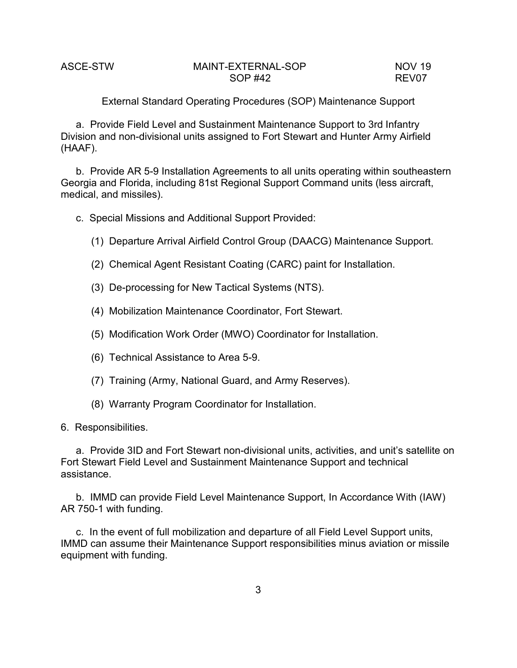External Standard Operating Procedures (SOP) Maintenance Support

a. Provide Field Level and Sustainment Maintenance Support to 3rd Infantry Division and non-divisional units assigned to Fort Stewart and Hunter Army Airfield (HAAF).

b. Provide AR 5-9 Installation Agreements to all units operating within southeastern Georgia and Florida, including 81st Regional Support Command units (less aircraft, medical, and missiles).

c. Special Missions and Additional Support Provided:

- (1) Departure Arrival Airfield Control Group (DAACG) Maintenance Support.
- (2) Chemical Agent Resistant Coating (CARC) paint for Installation.
- (3) De-processing for New Tactical Systems (NTS).
- (4) Mobilization Maintenance Coordinator, Fort Stewart.
- (5) Modification Work Order (MWO) Coordinator for Installation.
- (6) Technical Assistance to Area 5-9.
- (7) Training (Army, National Guard, and Army Reserves).
- (8) Warranty Program Coordinator for Installation.
- 6. Responsibilities.

a. Provide 3ID and Fort Stewart non-divisional units, activities, and unit's satellite on Fort Stewart Field Level and Sustainment Maintenance Support and technical assistance.

b. IMMD can provide Field Level Maintenance Support, In Accordance With (IAW) AR 750-1 with funding.

c. In the event of full mobilization and departure of all Field Level Support units, IMMD can assume their Maintenance Support responsibilities minus aviation or missile equipment with funding.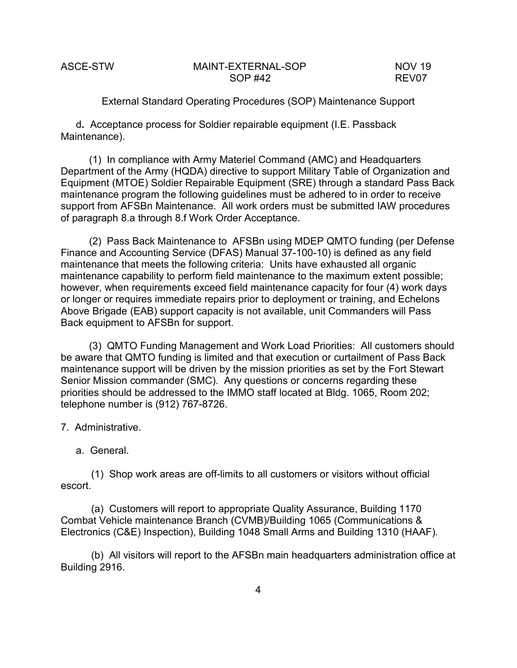External Standard Operating Procedures (SOP) Maintenance Support

d**.** Acceptance process for Soldier repairable equipment (I.E. Passback Maintenance).

 (1) In compliance with Army Materiel Command (AMC) and Headquarters Department of the Army (HQDA) directive to support Military Table of Organization and Equipment (MTOE) Soldier Repairable Equipment (SRE) through a standard Pass Back maintenance program the following guidelines must be adhered to in order to receive support from AFSBn Maintenance. All work orders must be submitted IAW procedures of paragraph 8.a through 8.f Work Order Acceptance.

 (2) Pass Back Maintenance to AFSBn using MDEP QMTO funding (per Defense Finance and Accounting Service (DFAS) Manual 37-100-10) is defined as any field maintenance that meets the following criteria: Units have exhausted all organic maintenance capability to perform field maintenance to the maximum extent possible; however, when requirements exceed field maintenance capacity for four (4) work days or longer or requires immediate repairs prior to deployment or training, and Echelons Above Brigade (EAB) support capacity is not available, unit Commanders will Pass Back equipment to AFSBn for support.

 (3) QMTO Funding Management and Work Load Priorities: All customers should be aware that QMTO funding is limited and that execution or curtailment of Pass Back maintenance support will be driven by the mission priorities as set by the Fort Stewart Senior Mission commander (SMC). Any questions or concerns regarding these priorities should be addressed to the IMMO staff located at Bldg. 1065, Room 202; telephone number is (912) 767-8726.

- 7. Administrative.
	- a. General.

(1) Shop work areas are off-limits to all customers or visitors without official escort.

(a) Customers will report to appropriate Quality Assurance, Building 1170 Combat Vehicle maintenance Branch (CVMB)/Building 1065 (Communications & Electronics (C&E) Inspection), Building 1048 Small Arms and Building 1310 (HAAF).

(b) All visitors will report to the AFSBn main headquarters administration office at Building 2916.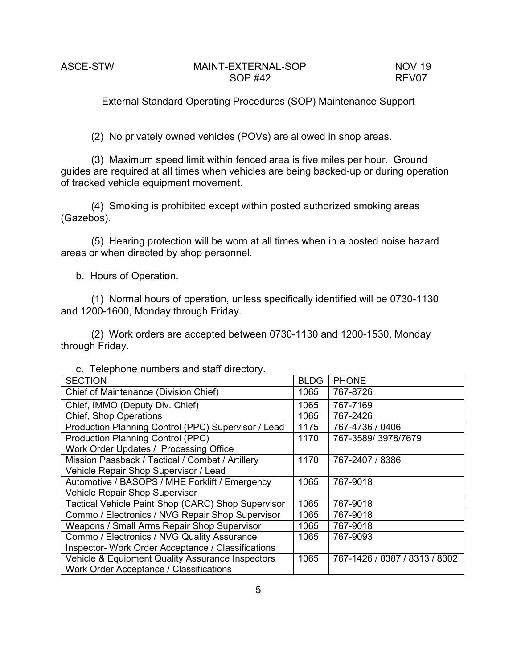(2) No privately owned vehicles (POVs) are allowed in shop areas.

(3) Maximum speed limit within fenced area is five miles per hour. Ground guides are required at all times when vehicles are being backed-up or during operation of tracked vehicle equipment movement.

(4) Smoking is prohibited except within posted authorized smoking areas (Gazebos).

(5) Hearing protection will be worn at all times when in a posted noise hazard areas or when directed by shop personnel.

b. Hours of Operation.

(1) Normal hours of operation, unless specifically identified will be 0730-1130 and 1200-1600, Monday through Friday.

(2) Work orders are accepted between 0730-1130 and 1200-1530, Monday through Friday.

|  | c. Telephone numbers and staff directory. |  |  |  |  |  |
|--|-------------------------------------------|--|--|--|--|--|
|--|-------------------------------------------|--|--|--|--|--|

| <b>SECTION</b>                                      | <b>BLDG</b> | <b>PHONE</b>                  |
|-----------------------------------------------------|-------------|-------------------------------|
| Chief of Maintenance (Division Chief)               | 1065        | 767-8726                      |
| Chief, IMMO (Deputy Div. Chief)                     | 1065        | 767-7169                      |
| <b>Chief, Shop Operations</b>                       | 1065        | 767-2426                      |
| Production Planning Control (PPC) Supervisor / Lead | 1175        | 767-4736 / 0406               |
| <b>Production Planning Control (PPC)</b>            | 1170        | 767-3589/3978/7679            |
| Work Order Updates / Processing Office              |             |                               |
| Mission Passback / Tactical / Combat / Artillery    | 1170        | 767-2407 / 8386               |
| Vehicle Repair Shop Supervisor / Lead               |             |                               |
| Automotive / BASOPS / MHE Forklift / Emergency      |             | 767-9018                      |
| Vehicle Repair Shop Supervisor                      |             |                               |
| Tactical Vehicle Paint Shop (CARC) Shop Supervisor  | 1065        | 767-9018                      |
| Commo / Electronics / NVG Repair Shop Supervisor    | 1065        | 767-9018                      |
| Weapons / Small Arms Repair Shop Supervisor         | 1065        | 767-9018                      |
| Commo / Electronics / NVG Quality Assurance         |             | 767-9093                      |
| Inspector- Work Order Acceptance / Classifications  |             |                               |
| Vehicle & Equipment Quality Assurance Inspectors    |             | 767-1426 / 8387 / 8313 / 8302 |
| Work Order Acceptance / Classifications             |             |                               |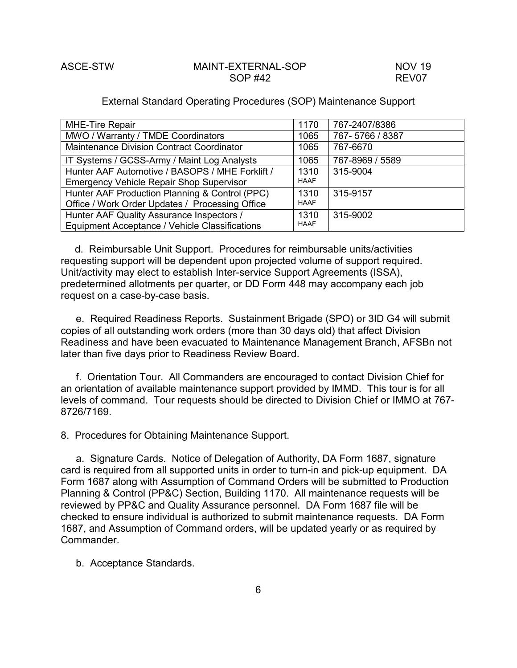### External Standard Operating Procedures (SOP) Maintenance Support

| <b>MHE-Tire Repair</b>                          | 1170        | 767-2407/8386   |
|-------------------------------------------------|-------------|-----------------|
| MWO / Warranty / TMDE Coordinators              |             | 767-5766 / 8387 |
| Maintenance Division Contract Coordinator       | 1065        | 767-6670        |
| IT Systems / GCSS-Army / Maint Log Analysts     | 1065        | 767-8969 / 5589 |
| Hunter AAF Automotive / BASOPS / MHE Forklift / |             | 315-9004        |
| <b>Emergency Vehicle Repair Shop Supervisor</b> | <b>HAAF</b> |                 |
| Hunter AAF Production Planning & Control (PPC)  | 1310        | 315-9157        |
| Office / Work Order Updates / Processing Office | <b>HAAF</b> |                 |
| Hunter AAF Quality Assurance Inspectors /       |             | 315-9002        |
| Equipment Acceptance / Vehicle Classifications  | <b>HAAF</b> |                 |

 d. Reimbursable Unit Support. Procedures for reimbursable units/activities requesting support will be dependent upon projected volume of support required. Unit/activity may elect to establish Inter-service Support Agreements (ISSA), predetermined allotments per quarter, or DD Form 448 may accompany each job request on a case-by-case basis.

e. Required Readiness Reports. Sustainment Brigade (SPO) or 3ID G4 will submit copies of all outstanding work orders (more than 30 days old) that affect Division Readiness and have been evacuated to Maintenance Management Branch, AFSBn not later than five days prior to Readiness Review Board.

f. Orientation Tour. All Commanders are encouraged to contact Division Chief for an orientation of available maintenance support provided by IMMD. This tour is for all levels of command. Tour requests should be directed to Division Chief or IMMO at 767- 8726/7169.

8. Procedures for Obtaining Maintenance Support.

a. Signature Cards. Notice of Delegation of Authority, DA Form 1687, signature card is required from all supported units in order to turn-in and pick-up equipment. DA Form 1687 along with Assumption of Command Orders will be submitted to Production Planning & Control (PP&C) Section, Building 1170. All maintenance requests will be reviewed by PP&C and Quality Assurance personnel. DA Form 1687 file will be checked to ensure individual is authorized to submit maintenance requests. DA Form 1687, and Assumption of Command orders, will be updated yearly or as required by Commander.

b. Acceptance Standards.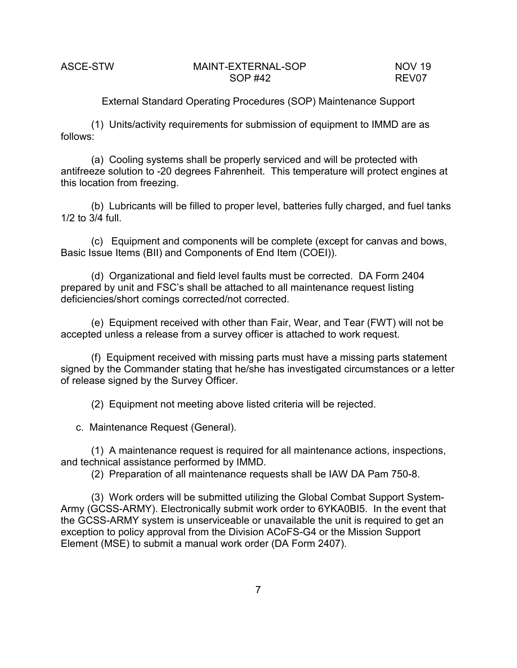External Standard Operating Procedures (SOP) Maintenance Support

(1) Units/activity requirements for submission of equipment to IMMD are as follows:

(a) Cooling systems shall be properly serviced and will be protected with antifreeze solution to -20 degrees Fahrenheit. This temperature will protect engines at this location from freezing.

(b) Lubricants will be filled to proper level, batteries fully charged, and fuel tanks 1/2 to 3/4 full.

(c) Equipment and components will be complete (except for canvas and bows, Basic Issue Items (BII) and Components of End Item (COEI)).

(d) Organizational and field level faults must be corrected. DA Form 2404 prepared by unit and FSC's shall be attached to all maintenance request listing deficiencies/short comings corrected/not corrected.

(e) Equipment received with other than Fair, Wear, and Tear (FWT) will not be accepted unless a release from a survey officer is attached to work request.

(f) Equipment received with missing parts must have a missing parts statement signed by the Commander stating that he/she has investigated circumstances or a letter of release signed by the Survey Officer.

(2) Equipment not meeting above listed criteria will be rejected.

c. Maintenance Request (General).

(1) A maintenance request is required for all maintenance actions, inspections, and technical assistance performed by IMMD.

(2) Preparation of all maintenance requests shall be IAW DA Pam 750-8.

(3) Work orders will be submitted utilizing the Global Combat Support System-Army (GCSS-ARMY). Electronically submit work order to 6YKA0BI5. In the event that the GCSS-ARMY system is unserviceable or unavailable the unit is required to get an exception to policy approval from the Division ACoFS-G4 or the Mission Support Element (MSE) to submit a manual work order (DA Form 2407).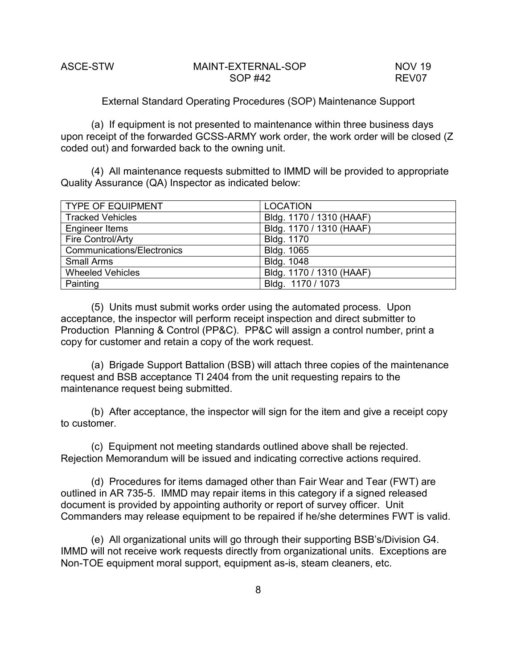External Standard Operating Procedures (SOP) Maintenance Support

(a) If equipment is not presented to maintenance within three business days upon receipt of the forwarded GCSS-ARMY work order, the work order will be closed (Z coded out) and forwarded back to the owning unit.

(4) All maintenance requests submitted to IMMD will be provided to appropriate Quality Assurance (QA) Inspector as indicated below:

| <b>TYPE OF EQUIPMENT</b>          | <b>LOCATION</b>          |
|-----------------------------------|--------------------------|
| <b>Tracked Vehicles</b>           | Bldg. 1170 / 1310 (HAAF) |
| Engineer Items                    | Bldg. 1170 / 1310 (HAAF) |
| Fire Control/Arty                 | Bldg. 1170               |
| <b>Communications/Electronics</b> | Bldg. 1065               |
| <b>Small Arms</b>                 | Bldg. 1048               |
| <b>Wheeled Vehicles</b>           | Bldg. 1170 / 1310 (HAAF) |
| Painting                          | Bldg. 1170 / 1073        |

(5) Units must submit works order using the automated process. Upon acceptance, the inspector will perform receipt inspection and direct submitter to Production Planning & Control (PP&C). PP&C will assign a control number, print a copy for customer and retain a copy of the work request.

(a) Brigade Support Battalion (BSB) will attach three copies of the maintenance request and BSB acceptance TI 2404 from the unit requesting repairs to the maintenance request being submitted.

(b) After acceptance, the inspector will sign for the item and give a receipt copy to customer.

(c) Equipment not meeting standards outlined above shall be rejected. Rejection Memorandum will be issued and indicating corrective actions required.

(d) Procedures for items damaged other than Fair Wear and Tear (FWT) are outlined in AR 735-5. IMMD may repair items in this category if a signed released document is provided by appointing authority or report of survey officer. Unit Commanders may release equipment to be repaired if he/she determines FWT is valid.

(e) All organizational units will go through their supporting BSB's/Division G4. IMMD will not receive work requests directly from organizational units. Exceptions are Non-TOE equipment moral support, equipment as-is, steam cleaners, etc.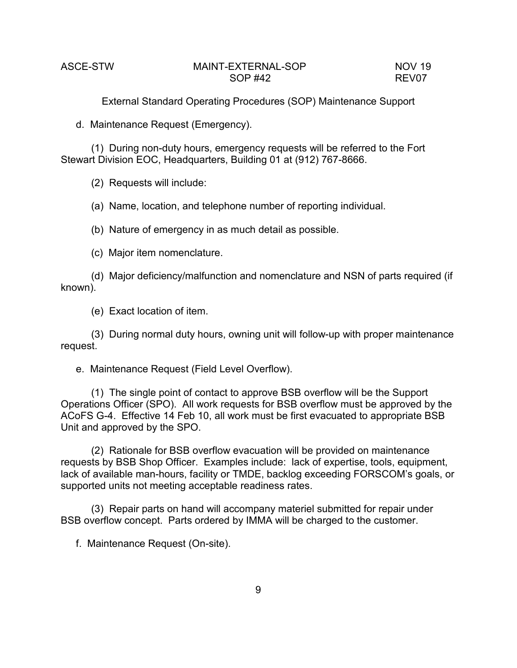d. Maintenance Request (Emergency).

(1) During non-duty hours, emergency requests will be referred to the Fort Stewart Division EOC, Headquarters, Building 01 at (912) 767-8666.

(2) Requests will include:

(a) Name, location, and telephone number of reporting individual.

(b) Nature of emergency in as much detail as possible.

(c) Major item nomenclature.

(d) Major deficiency/malfunction and nomenclature and NSN of parts required (if known).

(e) Exact location of item.

(3) During normal duty hours, owning unit will follow-up with proper maintenance request.

e. Maintenance Request (Field Level Overflow).

(1) The single point of contact to approve BSB overflow will be the Support Operations Officer (SPO). All work requests for BSB overflow must be approved by the ACoFS G-4. Effective 14 Feb 10, all work must be first evacuated to appropriate BSB Unit and approved by the SPO.

(2) Rationale for BSB overflow evacuation will be provided on maintenance requests by BSB Shop Officer. Examples include: lack of expertise, tools, equipment, lack of available man-hours, facility or TMDE, backlog exceeding FORSCOM's goals, or supported units not meeting acceptable readiness rates.

(3) Repair parts on hand will accompany materiel submitted for repair under BSB overflow concept. Parts ordered by IMMA will be charged to the customer.

f. Maintenance Request (On-site).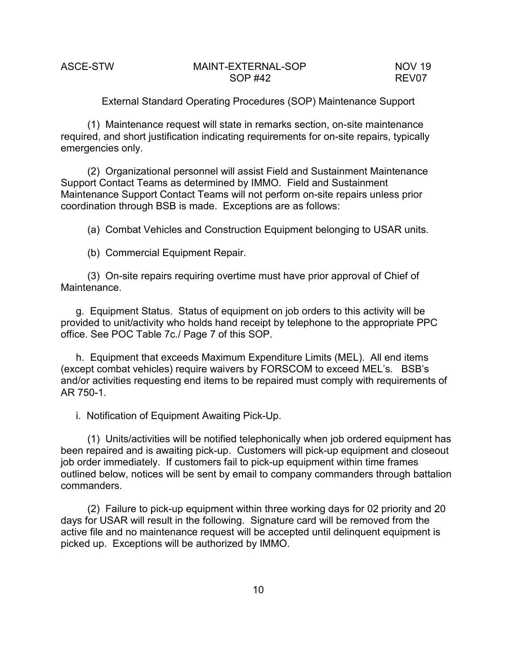External Standard Operating Procedures (SOP) Maintenance Support

(1) Maintenance request will state in remarks section, on-site maintenance required, and short justification indicating requirements for on-site repairs, typically emergencies only.

(2) Organizational personnel will assist Field and Sustainment Maintenance Support Contact Teams as determined by IMMO. Field and Sustainment Maintenance Support Contact Teams will not perform on-site repairs unless prior coordination through BSB is made. Exceptions are as follows:

(a) Combat Vehicles and Construction Equipment belonging to USAR units.

(b) Commercial Equipment Repair.

(3) On-site repairs requiring overtime must have prior approval of Chief of Maintenance.

g. Equipment Status. Status of equipment on job orders to this activity will be provided to unit/activity who holds hand receipt by telephone to the appropriate PPC office. See POC Table 7c./ Page 7 of this SOP.

h. Equipment that exceeds Maximum Expenditure Limits (MEL). All end items (except combat vehicles) require waivers by FORSCOM to exceed MEL's. BSB's and/or activities requesting end items to be repaired must comply with requirements of AR 750-1.

i. Notification of Equipment Awaiting Pick-Up.

(1) Units/activities will be notified telephonically when job ordered equipment has been repaired and is awaiting pick-up. Customers will pick-up equipment and closeout job order immediately. If customers fail to pick-up equipment within time frames outlined below, notices will be sent by email to company commanders through battalion commanders.

(2) Failure to pick-up equipment within three working days for 02 priority and 20 days for USAR will result in the following. Signature card will be removed from the active file and no maintenance request will be accepted until delinquent equipment is picked up. Exceptions will be authorized by IMMO.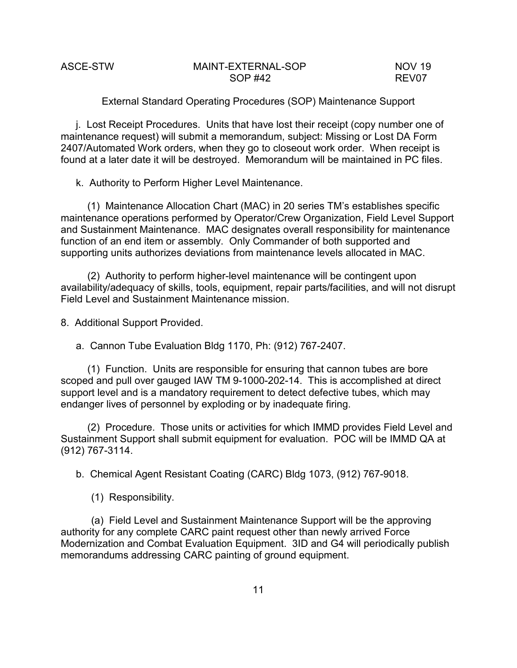External Standard Operating Procedures (SOP) Maintenance Support

j. Lost Receipt Procedures. Units that have lost their receipt (copy number one of maintenance request) will submit a memorandum, subject: Missing or Lost DA Form 2407/Automated Work orders, when they go to closeout work order. When receipt is found at a later date it will be destroyed. Memorandum will be maintained in PC files.

k. Authority to Perform Higher Level Maintenance.

(1) Maintenance Allocation Chart (MAC) in 20 series TM's establishes specific maintenance operations performed by Operator/Crew Organization, Field Level Support and Sustainment Maintenance. MAC designates overall responsibility for maintenance function of an end item or assembly. Only Commander of both supported and supporting units authorizes deviations from maintenance levels allocated in MAC.

(2) Authority to perform higher-level maintenance will be contingent upon availability/adequacy of skills, tools, equipment, repair parts/facilities, and will not disrupt Field Level and Sustainment Maintenance mission.

8. Additional Support Provided.

a. Cannon Tube Evaluation Bldg 1170, Ph: (912) 767-2407.

(1) Function. Units are responsible for ensuring that cannon tubes are bore scoped and pull over gauged IAW TM 9-1000-202-14. This is accomplished at direct support level and is a mandatory requirement to detect defective tubes, which may endanger lives of personnel by exploding or by inadequate firing.

(2) Procedure. Those units or activities for which IMMD provides Field Level and Sustainment Support shall submit equipment for evaluation. POC will be IMMD QA at (912) 767-3114.

b. Chemical Agent Resistant Coating (CARC) Bldg 1073, (912) 767-9018.

(1) Responsibility.

(a) Field Level and Sustainment Maintenance Support will be the approving authority for any complete CARC paint request other than newly arrived Force Modernization and Combat Evaluation Equipment. 3ID and G4 will periodically publish memorandums addressing CARC painting of ground equipment.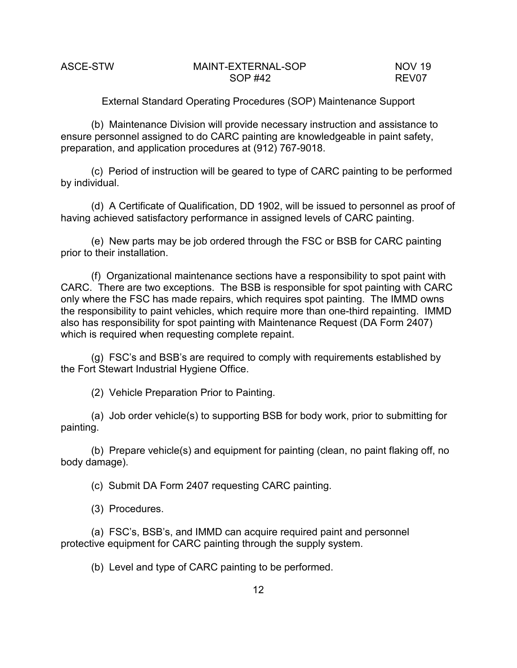External Standard Operating Procedures (SOP) Maintenance Support

(b) Maintenance Division will provide necessary instruction and assistance to ensure personnel assigned to do CARC painting are knowledgeable in paint safety, preparation, and application procedures at (912) 767-9018.

(c) Period of instruction will be geared to type of CARC painting to be performed by individual.

(d) A Certificate of Qualification, DD 1902, will be issued to personnel as proof of having achieved satisfactory performance in assigned levels of CARC painting.

(e) New parts may be job ordered through the FSC or BSB for CARC painting prior to their installation.

(f) Organizational maintenance sections have a responsibility to spot paint with CARC. There are two exceptions. The BSB is responsible for spot painting with CARC only where the FSC has made repairs, which requires spot painting. The IMMD owns the responsibility to paint vehicles, which require more than one-third repainting. IMMD also has responsibility for spot painting with Maintenance Request (DA Form 2407) which is required when requesting complete repaint.

(g) FSC's and BSB's are required to comply with requirements established by the Fort Stewart Industrial Hygiene Office.

(2) Vehicle Preparation Prior to Painting.

(a) Job order vehicle(s) to supporting BSB for body work, prior to submitting for painting.

(b) Prepare vehicle(s) and equipment for painting (clean, no paint flaking off, no body damage).

(c) Submit DA Form 2407 requesting CARC painting.

(3) Procedures.

(a) FSC's, BSB's, and IMMD can acquire required paint and personnel protective equipment for CARC painting through the supply system.

(b) Level and type of CARC painting to be performed.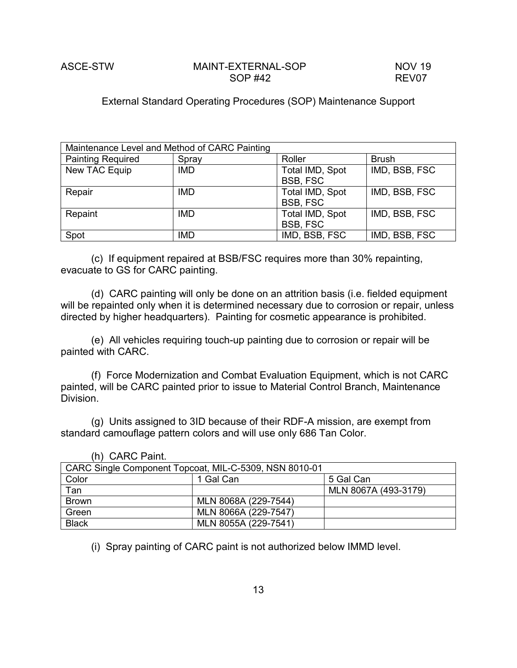# External Standard Operating Procedures (SOP) Maintenance Support

| Maintenance Level and Method of CARC Painting |            |                 |               |  |
|-----------------------------------------------|------------|-----------------|---------------|--|
| <b>Painting Required</b>                      | Spray      | Roller          | <b>Brush</b>  |  |
| New TAC Equip                                 | <b>IMD</b> | Total IMD, Spot | IMD, BSB, FSC |  |
|                                               |            | BSB, FSC        |               |  |
| Repair                                        | <b>IMD</b> | Total IMD, Spot | IMD, BSB, FSC |  |
|                                               |            | BSB, FSC        |               |  |
| Repaint                                       | <b>IMD</b> | Total IMD, Spot | IMD, BSB, FSC |  |
|                                               |            | BSB, FSC        |               |  |
| Spot                                          | <b>IMD</b> | IMD, BSB, FSC   | IMD, BSB, FSC |  |

(c) If equipment repaired at BSB/FSC requires more than 30% repainting, evacuate to GS for CARC painting.

(d) CARC painting will only be done on an attrition basis (i.e. fielded equipment will be repainted only when it is determined necessary due to corrosion or repair, unless directed by higher headquarters). Painting for cosmetic appearance is prohibited.

(e) All vehicles requiring touch-up painting due to corrosion or repair will be painted with CARC.

(f) Force Modernization and Combat Evaluation Equipment, which is not CARC painted, will be CARC painted prior to issue to Material Control Branch, Maintenance Division.

(g) Units assigned to 3ID because of their RDF-A mission, are exempt from standard camouflage pattern colors and will use only 686 Tan Color.

| CARC Single Component Topcoat, MIL-C-5309, NSN 8010-01 |                      |                      |  |
|--------------------------------------------------------|----------------------|----------------------|--|
| Color                                                  | 1 Gal Can            | 5 Gal Can            |  |
| Tan                                                    |                      | MLN 8067A (493-3179) |  |
| <b>Brown</b>                                           | MLN 8068A (229-7544) |                      |  |
| Green                                                  | MLN 8066A (229-7547) |                      |  |
| <b>Black</b>                                           | MLN 8055A (229-7541) |                      |  |

(h) CARC Paint.

(i) Spray painting of CARC paint is not authorized below IMMD level.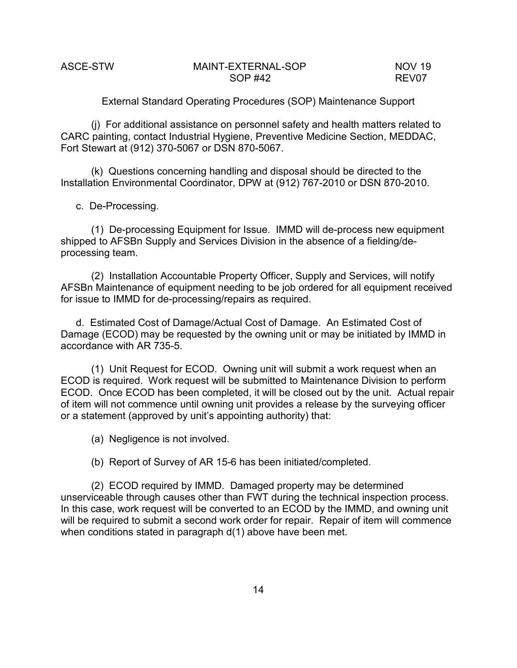External Standard Operating Procedures (SOP) Maintenance Support

(j) For additional assistance on personnel safety and health matters related to CARC painting, contact Industrial Hygiene, Preventive Medicine Section, MEDDAC, Fort Stewart at (912) 370-5067 or DSN 870-5067.

(k) Questions concerning handling and disposal should be directed to the Installation Environmental Coordinator, DPW at (912) 767-2010 or DSN 870-2010.

c. De-Processing.

(1) De-processing Equipment for Issue. IMMD will de-process new equipment shipped to AFSBn Supply and Services Division in the absence of a fielding/deprocessing team.

(2) Installation Accountable Property Officer, Supply and Services, will notify AFSBn Maintenance of equipment needing to be job ordered for all equipment received for issue to IMMD for de-processing/repairs as required.

d. Estimated Cost of Damage/Actual Cost of Damage. An Estimated Cost of Damage (ECOD) may be requested by the owning unit or may be initiated by IMMD in accordance with AR 735-5.

(1) Unit Request for ECOD. Owning unit will submit a work request when an ECOD is required. Work request will be submitted to Maintenance Division to perform ECOD. Once ECOD has been completed, it will be closed out by the unit. Actual repair of item will not commence until owning unit provides a release by the surveying officer or a statement (approved by unit's appointing authority) that:

(a) Negligence is not involved.

(b) Report of Survey of AR 15-6 has been initiated/completed.

(2) ECOD required by IMMD. Damaged property may be determined unserviceable through causes other than FWT during the technical inspection process. In this case, work request will be converted to an ECOD by the IMMD, and owning unit will be required to submit a second work order for repair. Repair of item will commence when conditions stated in paragraph d(1) above have been met.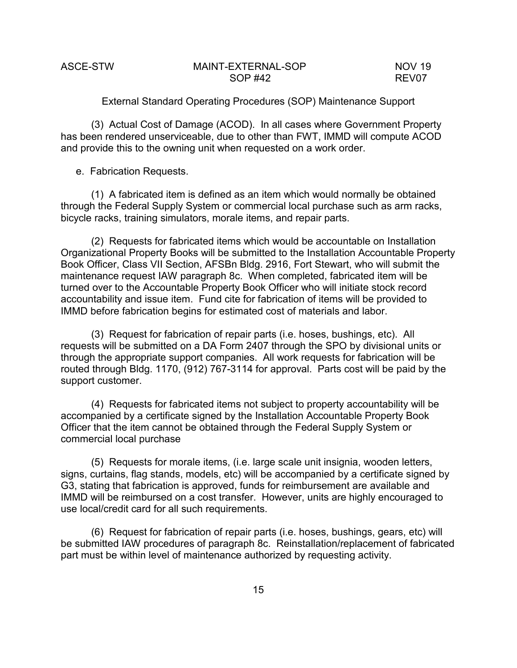External Standard Operating Procedures (SOP) Maintenance Support

(3) Actual Cost of Damage (ACOD). In all cases where Government Property has been rendered unserviceable, due to other than FWT, IMMD will compute ACOD and provide this to the owning unit when requested on a work order.

e. Fabrication Requests.

(1) A fabricated item is defined as an item which would normally be obtained through the Federal Supply System or commercial local purchase such as arm racks, bicycle racks, training simulators, morale items, and repair parts.

(2) Requests for fabricated items which would be accountable on Installation Organizational Property Books will be submitted to the Installation Accountable Property Book Officer, Class VII Section, AFSBn Bldg. 2916, Fort Stewart, who will submit the maintenance request IAW paragraph 8c. When completed, fabricated item will be turned over to the Accountable Property Book Officer who will initiate stock record accountability and issue item. Fund cite for fabrication of items will be provided to IMMD before fabrication begins for estimated cost of materials and labor.

(3) Request for fabrication of repair parts (i.e. hoses, bushings, etc). All requests will be submitted on a DA Form 2407 through the SPO by divisional units or through the appropriate support companies. All work requests for fabrication will be routed through Bldg. 1170, (912) 767-3114 for approval. Parts cost will be paid by the support customer.

(4) Requests for fabricated items not subject to property accountability will be accompanied by a certificate signed by the Installation Accountable Property Book Officer that the item cannot be obtained through the Federal Supply System or commercial local purchase

(5) Requests for morale items, (i.e. large scale unit insignia, wooden letters, signs, curtains, flag stands, models, etc) will be accompanied by a certificate signed by G3, stating that fabrication is approved, funds for reimbursement are available and IMMD will be reimbursed on a cost transfer. However, units are highly encouraged to use local/credit card for all such requirements.

(6) Request for fabrication of repair parts (i.e. hoses, bushings, gears, etc) will be submitted IAW procedures of paragraph 8c. Reinstallation/replacement of fabricated part must be within level of maintenance authorized by requesting activity.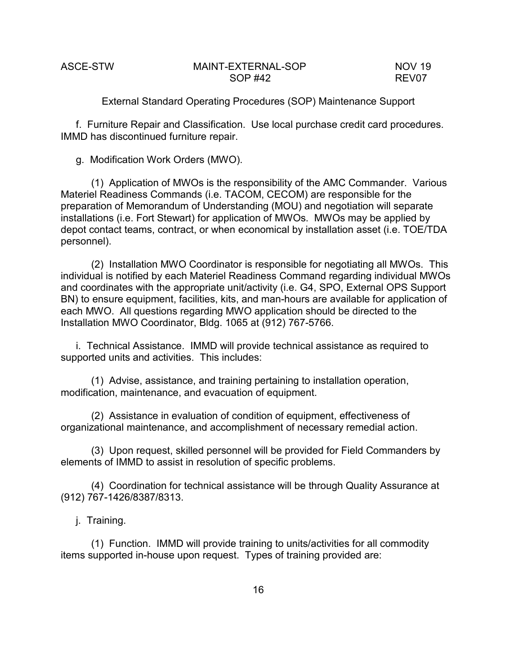External Standard Operating Procedures (SOP) Maintenance Support

f. Furniture Repair and Classification. Use local purchase credit card procedures. IMMD has discontinued furniture repair.

g. Modification Work Orders (MWO).

(1) Application of MWOs is the responsibility of the AMC Commander. Various Materiel Readiness Commands (i.e. TACOM, CECOM) are responsible for the preparation of Memorandum of Understanding (MOU) and negotiation will separate installations (i.e. Fort Stewart) for application of MWOs. MWOs may be applied by depot contact teams, contract, or when economical by installation asset (i.e. TOE/TDA personnel).

(2) Installation MWO Coordinator is responsible for negotiating all MWOs. This individual is notified by each Materiel Readiness Command regarding individual MWOs and coordinates with the appropriate unit/activity (i.e. G4, SPO, External OPS Support BN) to ensure equipment, facilities, kits, and man-hours are available for application of each MWO. All questions regarding MWO application should be directed to the Installation MWO Coordinator, Bldg. 1065 at (912) 767-5766.

i. Technical Assistance. IMMD will provide technical assistance as required to supported units and activities. This includes:

(1) Advise, assistance, and training pertaining to installation operation, modification, maintenance, and evacuation of equipment.

(2) Assistance in evaluation of condition of equipment, effectiveness of organizational maintenance, and accomplishment of necessary remedial action.

(3) Upon request, skilled personnel will be provided for Field Commanders by elements of IMMD to assist in resolution of specific problems.

(4) Coordination for technical assistance will be through Quality Assurance at (912) 767-1426/8387/8313.

j. Training.

(1) Function. IMMD will provide training to units/activities for all commodity items supported in-house upon request. Types of training provided are: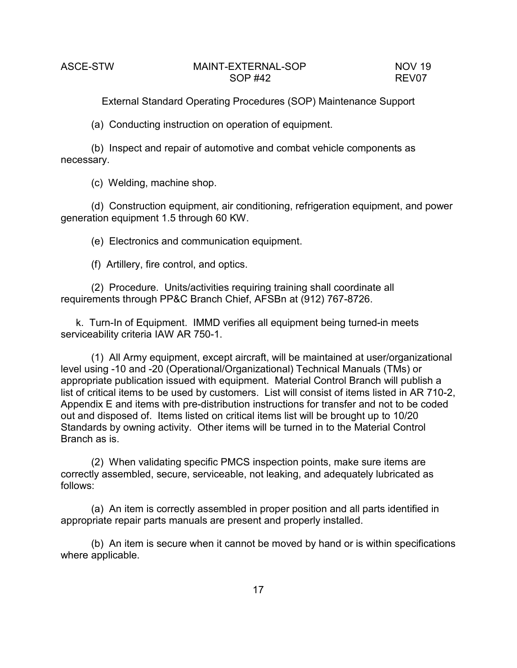(a) Conducting instruction on operation of equipment.

(b) Inspect and repair of automotive and combat vehicle components as necessary.

(c) Welding, machine shop.

(d) Construction equipment, air conditioning, refrigeration equipment, and power generation equipment 1.5 through 60 KW.

(e) Electronics and communication equipment.

(f) Artillery, fire control, and optics.

(2) Procedure. Units/activities requiring training shall coordinate all requirements through PP&C Branch Chief, AFSBn at (912) 767-8726.

k. Turn-In of Equipment. IMMD verifies all equipment being turned-in meets serviceability criteria IAW AR 750-1.

(1) All Army equipment, except aircraft, will be maintained at user/organizational level using -10 and -20 (Operational/Organizational) Technical Manuals (TMs) or appropriate publication issued with equipment. Material Control Branch will publish a list of critical items to be used by customers. List will consist of items listed in AR 710-2, Appendix E and items with pre-distribution instructions for transfer and not to be coded out and disposed of. Items listed on critical items list will be brought up to 10/20 Standards by owning activity. Other items will be turned in to the Material Control Branch as is.

(2) When validating specific PMCS inspection points, make sure items are correctly assembled, secure, serviceable, not leaking, and adequately lubricated as follows:

(a) An item is correctly assembled in proper position and all parts identified in appropriate repair parts manuals are present and properly installed.

(b) An item is secure when it cannot be moved by hand or is within specifications where applicable.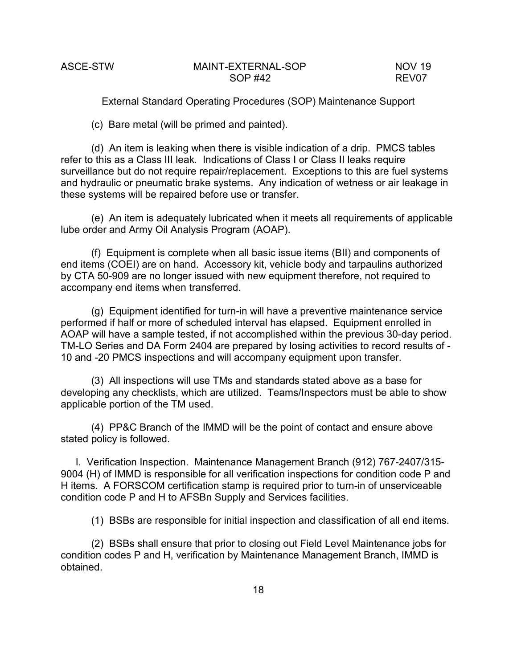(c) Bare metal (will be primed and painted).

(d) An item is leaking when there is visible indication of a drip. PMCS tables refer to this as a Class III leak. Indications of Class I or Class II leaks require surveillance but do not require repair/replacement. Exceptions to this are fuel systems and hydraulic or pneumatic brake systems. Any indication of wetness or air leakage in these systems will be repaired before use or transfer.

(e) An item is adequately lubricated when it meets all requirements of applicable lube order and Army Oil Analysis Program (AOAP).

(f) Equipment is complete when all basic issue items (BII) and components of end items (COEI) are on hand. Accessory kit, vehicle body and tarpaulins authorized by CTA 50-909 are no longer issued with new equipment therefore, not required to accompany end items when transferred.

(g) Equipment identified for turn-in will have a preventive maintenance service performed if half or more of scheduled interval has elapsed. Equipment enrolled in AOAP will have a sample tested, if not accomplished within the previous 30-day period. TM-LO Series and DA Form 2404 are prepared by losing activities to record results of - 10 and -20 PMCS inspections and will accompany equipment upon transfer.

(3) All inspections will use TMs and standards stated above as a base for developing any checklists, which are utilized. Teams/Inspectors must be able to show applicable portion of the TM used.

(4) PP&C Branch of the IMMD will be the point of contact and ensure above stated policy is followed.

l. Verification Inspection. Maintenance Management Branch (912) 767-2407/315- 9004 (H) of IMMD is responsible for all verification inspections for condition code P and H items. A FORSCOM certification stamp is required prior to turn-in of unserviceable condition code P and H to AFSBn Supply and Services facilities.

(1) BSBs are responsible for initial inspection and classification of all end items.

(2) BSBs shall ensure that prior to closing out Field Level Maintenance jobs for condition codes P and H, verification by Maintenance Management Branch, IMMD is obtained.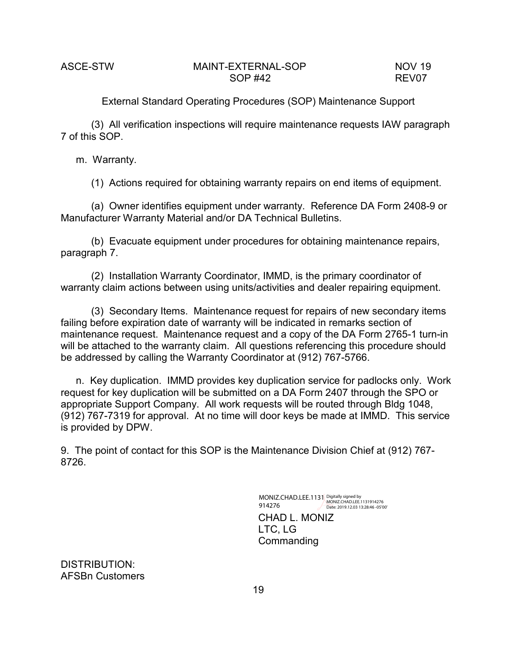(3) All verification inspections will require maintenance requests IAW paragraph 7 of this SOP.

m. Warranty.

(1) Actions required for obtaining warranty repairs on end items of equipment.

(a) Owner identifies equipment under warranty. Reference DA Form 2408-9 or Manufacturer Warranty Material and/or DA Technical Bulletins.

(b) Evacuate equipment under procedures for obtaining maintenance repairs, paragraph 7.

(2) Installation Warranty Coordinator, IMMD, is the primary coordinator of warranty claim actions between using units/activities and dealer repairing equipment.

(3) Secondary Items. Maintenance request for repairs of new secondary items failing before expiration date of warranty will be indicated in remarks section of maintenance request. Maintenance request and a copy of the DA Form 2765-1 turn-in will be attached to the warranty claim. All questions referencing this procedure should be addressed by calling the Warranty Coordinator at (912) 767-5766.

n. Key duplication. IMMD provides key duplication service for padlocks only. Work request for key duplication will be submitted on a DA Form 2407 through the SPO or appropriate Support Company. All work requests will be routed through Bldg 1048, (912) 767-7319 for approval. At no time will door keys be made at IMMD. This service is provided by DPW.

9. The point of contact for this SOP is the Maintenance Division Chief at (912) 767- 8726.

> CHAD L. MONIZ LTC, LG **Commanding** MONIZ.CHAD.LEE.1131 914276 Digitally signed by MONIZ.CHAD.LEE.1131914276 Date: 2019.12.03 13:28:46 -05'00'

DISTRIBUTION: AFSBn Customers